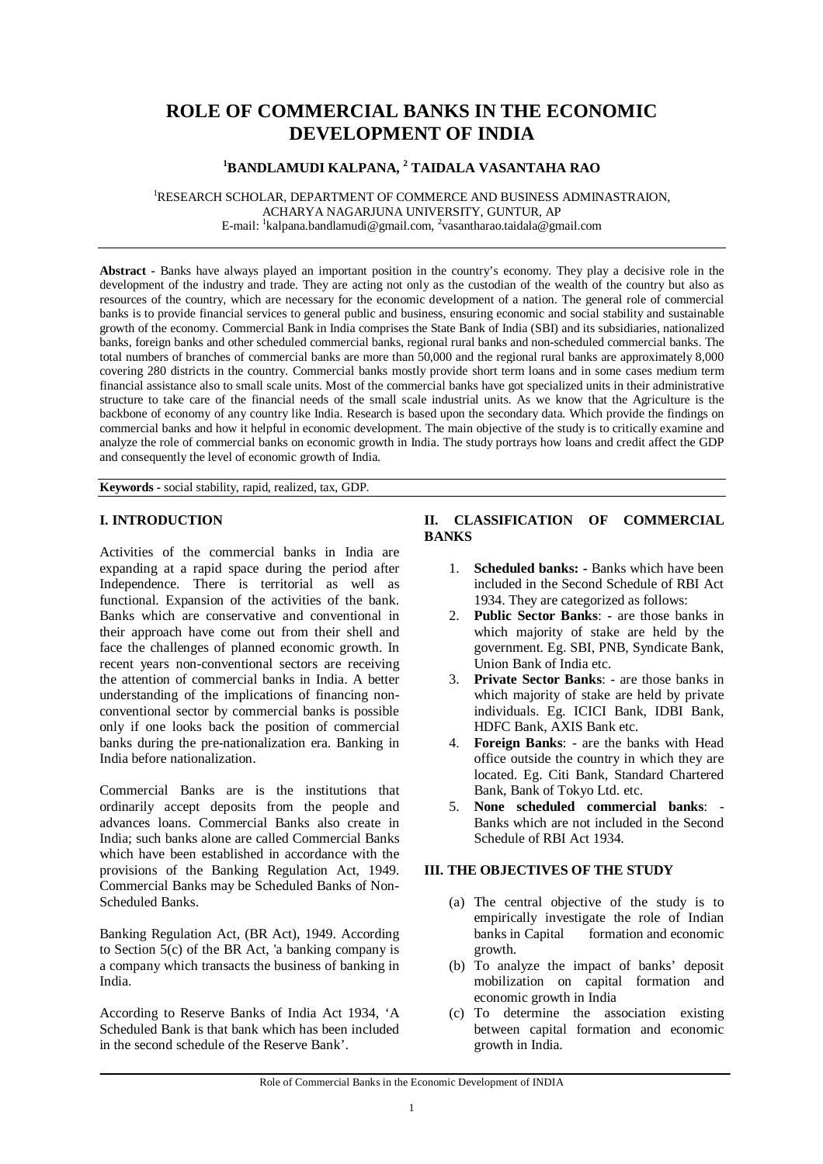# **ROLE OF COMMERCIAL BANKS IN THE ECONOMIC DEVELOPMENT OF INDIA**

# **<sup>1</sup>BANDLAMUDI KALPANA, <sup>2</sup> TAIDALA VASANTAHA RAO**

<sup>1</sup>RESEARCH SCHOLAR, DEPARTMENT OF COMMERCE AND BUSINESS ADMINASTRAION, ACHARYA NAGARJUNA UNIVERSITY, GUNTUR, AP E-mail: <sup>1</sup>[kalpana.bandlamudi@gmail.com,](mailto:kalpana.bandlamudi@gmail.com,) <sup>2</sup>[vasantharao.taidala@gmail.com](mailto:vasantharao.taidala@gmail.com)

**Abstract -** Banks have always played an important position in the country's economy. They play a decisive role in the development of the industry and trade. They are acting not only as the custodian of the wealth of the country but also as resources of the country, which are necessary for the economic development of a nation. The general role of commercial banks is to provide financial services to general public and business, ensuring economic and social stability and sustainable growth of the economy. Commercial Bank in India comprises the State Bank of India (SBI) and its subsidiaries, nationalized banks, foreign banks and other scheduled commercial banks, regional rural banks and non-scheduled commercial banks. The total numbers of branches of commercial banks are more than 50,000 and the regional rural banks are approximately 8,000 covering 280 districts in the country. Commercial banks mostly provide short term loans and in some cases medium term financial assistance also to small scale units. Most of the commercial banks have got specialized units in their administrative structure to take care of the financial needs of the small scale industrial units. As we know that the Agriculture is the backbone of economy of any country like India. Research is based upon the secondary data. Which provide the findings on commercial banks and how it helpful in economic development. The main objective of the study is to critically examine and analyze the role of commercial banks on economic growth in India. The study portrays how loans and credit affect the GDP and consequently the level of economic growth of India.

**Keywords -** social stability, rapid, realized, tax, GDP.

# **I. INTRODUCTION**

Activities of the commercial banks in India are expanding at a rapid space during the period after Independence. There is territorial as well as functional. Expansion of the activities of the bank. Banks which are conservative and conventional in their approach have come out from their shell and face the challenges of planned economic growth. In recent years non-conventional sectors are receiving the attention of commercial banks in India. A better understanding of the implications of financing nonconventional sector by commercial banks is possible only if one looks back the position of commercial banks during the pre-nationalization era. Banking in India before nationalization.

Commercial Banks are is the institutions that ordinarily accept deposits from the people and advances loans. Commercial Banks also create in India; such banks alone are called Commercial Banks which have been established in accordance with the provisions of the Banking Regulation Act, 1949. Commercial Banks may be Scheduled Banks of Non-Scheduled Banks.

Banking Regulation Act, (BR Act), 1949. According to Section 5(c) of the BR Act, 'a banking company is a company which transacts the business of banking in India.

According to Reserve Banks of India Act 1934, 'A Scheduled Bank is that bank which has been included in the second schedule of the Reserve Bank'.

## **II. CLASSIFICATION OF COMMERCIAL BANKS**

- 1. **Scheduled banks: -** Banks which have been included in the Second Schedule of RBI Act 1934. They are categorized as follows:
- 2. **Public Sector Banks**: are those banks in which majority of stake are held by the government. Eg. SBI, PNB, Syndicate Bank, Union Bank of India etc.
- 3. **Private Sector Banks**: are those banks in which majority of stake are held by private individuals. Eg. ICICI Bank, IDBI Bank, HDFC Bank, AXIS Bank etc.
- 4. **Foreign Banks**: are the banks with Head office outside the country in which they are located. Eg. Citi Bank, Standard Chartered Bank, Bank of Tokyo Ltd. etc.
- 5. **None scheduled commercial banks**: Banks which are not included in the Second Schedule of RBI Act 1934.

## **III. THE OBJECTIVES OF THE STUDY**

- (a) The central objective of the study is to empirically investigate the role of Indian<br>banks in Capital formation and economic formation and economic growth.
- (b) To analyze the impact of banks' deposit mobilization on capital formation and economic growth in India
- (c) To determine the association existing between capital formation and economic growth in India.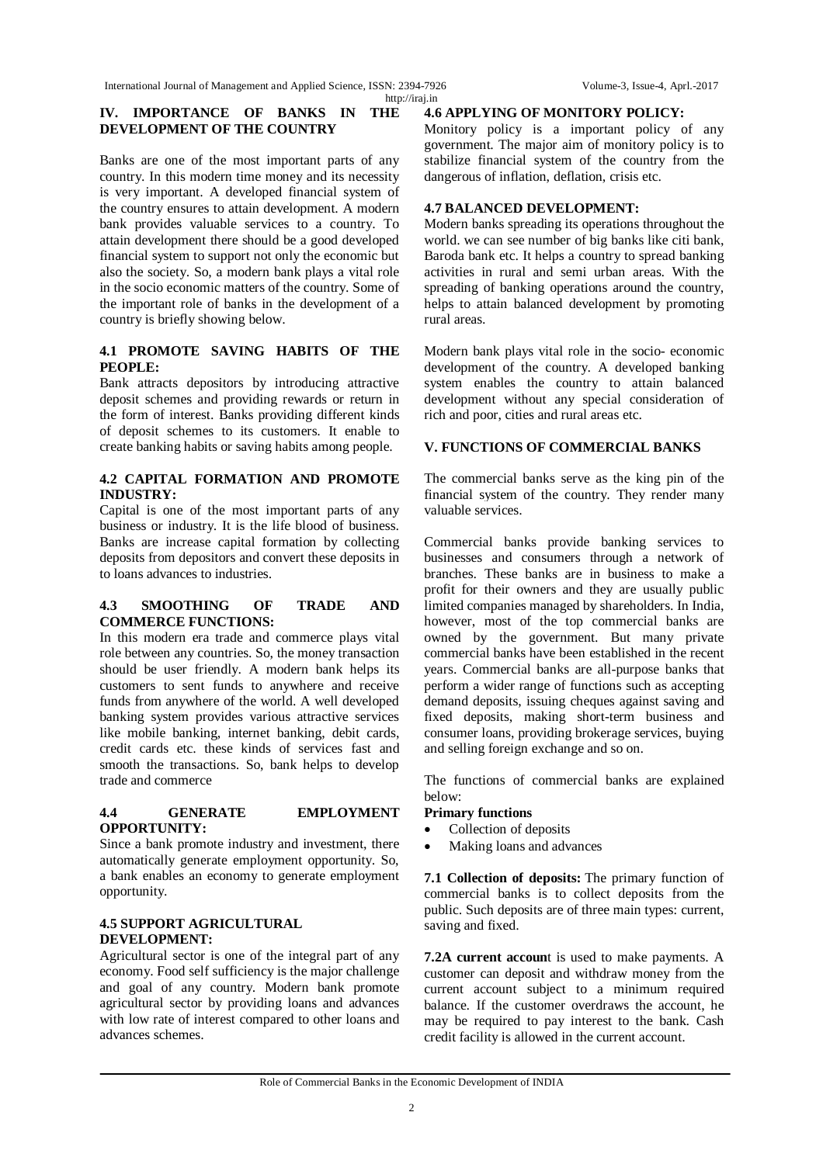International Journal of Management and Applied Science, ISSN: 2394-7926 Volume-3, Issue-4, Aprl.-2017 <http://iraj.in>

#### **IV. IMPORTANCE OF BANKS IN THE DEVELOPMENT OF THE COUNTRY**

Banks are one of the most important parts of any country. In this modern time money and its necessity is very important. A developed financial system of the country ensures to attain development. A modern bank provides valuable services to a country. To attain development there should be a good developed financial system to support not only the economic but also the society. So, a modern bank plays a vital role in the socio economic matters of the country. Some of the important role of banks in the development of a country is briefly showing below.

## **4.1 PROMOTE SAVING HABITS OF THE PEOPLE:**

Bank attracts depositors by introducing attractive deposit schemes and providing rewards or return in the form of interest. Banks providing different kinds of deposit schemes to its customers. It enable to create banking habits or saving habits among people.

## **4.2 CAPITAL FORMATION AND PROMOTE INDUSTRY:**

Capital is one of the most important parts of any business or industry. It is the life blood of business. Banks are increase capital formation by collecting deposits from depositors and convert these deposits in to loans advances to industries.

#### **4.3 SMOOTHING OF TRADE AND COMMERCE FUNCTIONS:**

In this modern era trade and commerce plays vital role between any countries. So, the money transaction should be user friendly. A modern bank helps its customers to sent funds to anywhere and receive funds from anywhere of the world. A well developed banking system provides various attractive services like mobile banking, internet banking, debit cards, credit cards etc. these kinds of services fast and smooth the transactions. So, bank helps to develop trade and commerce

## **4.4 GENERATE EMPLOYMENT OPPORTUNITY:**

Since a bank promote industry and investment, there automatically generate employment opportunity. So, a bank enables an economy to generate employment opportunity.

# **4.5 SUPPORT AGRICULTURAL DEVELOPMENT:**

Agricultural sector is one of the integral part of any economy. Food self sufficiency is the major challenge and goal of any country. Modern bank promote agricultural sector by providing loans and advances with low rate of interest compared to other loans and advances schemes.

#### **4.6 APPLYING OF MONITORY POLICY:**

Monitory policy is a important policy of any government. The major aim of monitory policy is to stabilize financial system of the country from the dangerous of inflation, deflation, crisis etc.

## **4.7 BALANCED DEVELOPMENT:**

Modern banks spreading its operations throughout the world. we can see number of big banks like citi bank, Baroda bank etc. It helps a country to spread banking activities in rural and semi urban areas. With the spreading of banking operations around the country, helps to attain balanced development by promoting rural areas.

Modern bank plays vital role in the socio- economic development of the country. A developed banking system enables the country to attain balanced development without any special consideration of rich and poor, cities and rural areas etc.

## **V. FUNCTIONS OF COMMERCIAL BANKS**

The commercial banks serve as the king pin of the financial system of the country. They render many valuable services.

Commercial banks provide banking services to businesses and consumers through a network of branches. These banks are in business to make a profit for their owners and they are usually public limited companies managed by shareholders. In India, however, most of the top commercial banks are owned by the government. But many private commercial banks have been established in the recent years. Commercial banks are all-purpose banks that perform a wider range of functions such as accepting demand deposits, issuing cheques against saving and fixed deposits, making short-term business and consumer loans, providing brokerage services, buying and selling foreign exchange and so on.

The functions of commercial banks are explained below:

## **Primary functions**

- Collection of deposits
- Making loans and advances

**7.1 Collection of deposits:** The primary function of commercial banks is to collect deposits from the public. Such deposits are of three main types: current, saving and fixed.

**7.2A current accoun**t is used to make payments. A customer can deposit and withdraw money from the current account subject to a minimum required balance. If the customer overdraws the account, he may be required to pay interest to the bank. Cash credit facility is allowed in the current account.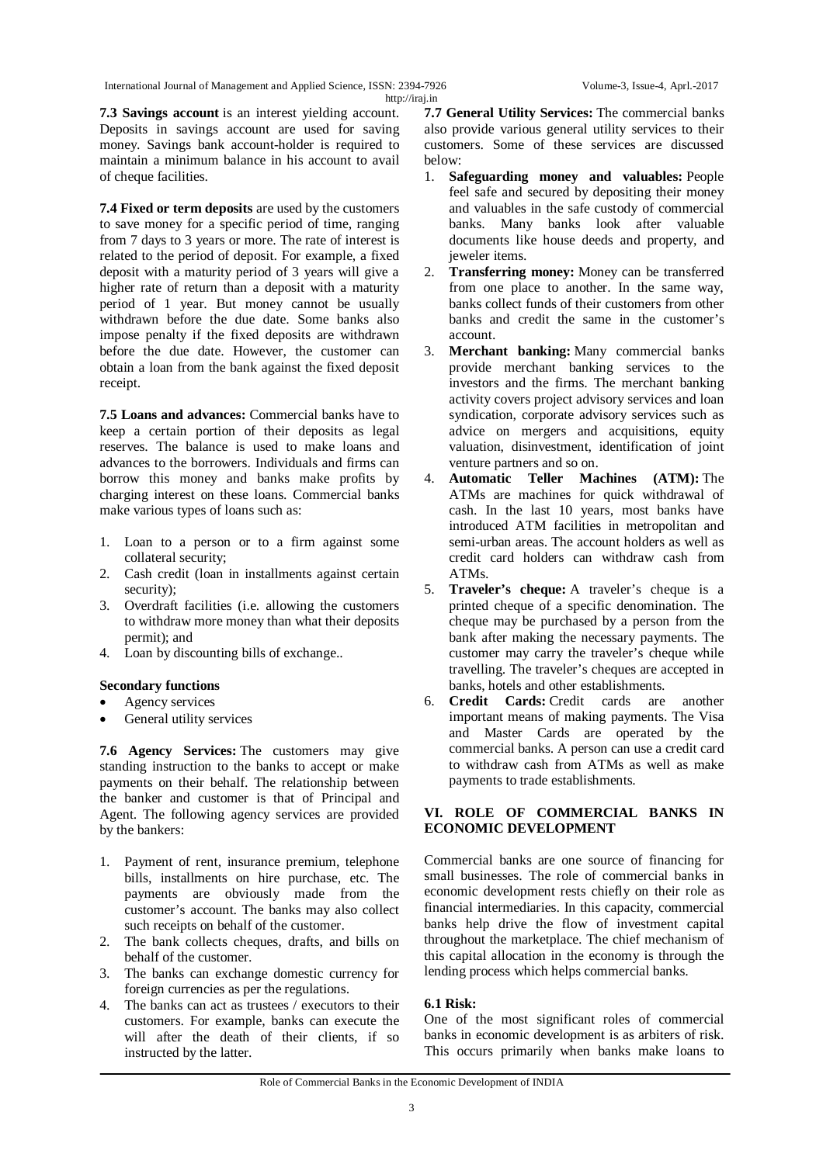International Journal of Management and Applied Science, ISSN: 2394-7926 Volume-3, Issue-4, Aprl.-2017 <http://iraj.in>

**7.3 Savings account** is an interest yielding account. Deposits in savings account are used for saving money. Savings bank account-holder is required to maintain a minimum balance in his account to avail of cheque facilities.

**7.4 Fixed or term deposits** are used by the customers to save money for a specific period of time, ranging from 7 days to 3 years or more. The rate of interest is related to the period of deposit. For example, a fixed deposit with a maturity period of 3 years will give a higher rate of return than a deposit with a maturity period of 1 year. But money cannot be usually withdrawn before the due date. Some banks also impose penalty if the fixed deposits are withdrawn before the due date. However, the customer can obtain a loan from the bank against the fixed deposit receipt.

**7.5 Loans and advances:** Commercial banks have to keep a certain portion of their deposits as legal reserves. The balance is used to make loans and advances to the borrowers. Individuals and firms can borrow this money and banks make profits by charging interest on these loans. Commercial banks make various types of loans such as:

- 1. Loan to a person or to a firm against some collateral security;
- 2. Cash credit (loan in installments against certain security);
- 3. Overdraft facilities (i.e. allowing the customers to withdraw more money than what their deposits permit); and
- 4. Loan by discounting bills of exchange..

## **Secondary functions**

- Agency services
- General utility services

**7.6 Agency Services:** The customers may give standing instruction to the banks to accept or make payments on their behalf. The relationship between the banker and customer is that of Principal and Agent. The following agency services are provided by the bankers:

- 1. Payment of rent, insurance premium, telephone bills, installments on hire purchase, etc. The payments are obviously made from the customer's account. The banks may also collect such receipts on behalf of the customer.
- 2. The bank collects cheques, drafts, and bills on behalf of the customer.
- 3. The banks can exchange domestic currency for foreign currencies as per the regulations.
- 4. The banks can act as trustees / executors to their customers. For example, banks can execute the will after the death of their clients, if so instructed by the latter.

**7.7 General Utility Services:** The commercial banks also provide various general utility services to their customers. Some of these services are discussed below:

- 1. **Safeguarding money and valuables:** People feel safe and secured by depositing their money and valuables in the safe custody of commercial banks. Many banks look after valuable documents like house deeds and property, and jeweler items.
- 2. **Transferring money:** Money can be transferred from one place to another. In the same way, banks collect funds of their customers from other banks and credit the same in the customer's account.
- 3. **Merchant banking:** Many commercial banks provide merchant banking services to the investors and the firms. The merchant banking activity covers project advisory services and loan syndication, corporate advisory services such as advice on mergers and acquisitions, equity valuation, disinvestment, identification of joint venture partners and so on.
- 4. **Automatic Teller Machines (ATM):** The ATMs are machines for quick withdrawal of cash. In the last 10 years, most banks have introduced ATM facilities in metropolitan and semi-urban areas. The account holders as well as credit card holders can withdraw cash from ATMs.
- 5. **Traveler's cheque:** A traveler's cheque is a printed cheque of a specific denomination. The cheque may be purchased by a person from the bank after making the necessary payments. The customer may carry the traveler's cheque while travelling. The traveler's cheques are accepted in banks, hotels and other establishments.
- 6. **Credit Cards:** Credit cards are another important means of making payments. The Visa and Master Cards are operated by the commercial banks. A person can use a credit card to withdraw cash from ATMs as well as make payments to trade establishments.

## **VI. ROLE OF COMMERCIAL BANKS IN ECONOMIC DEVELOPMENT**

Commercial banks are one source of financing for small businesses. The role of commercial banks in economic development rests chiefly on their role as financial intermediaries. In this capacity, commercial banks help drive the flow of investment capital throughout the marketplace. The chief mechanism of this capital allocation in the economy is through the lending process which helps commercial banks.

## **6.1 Risk:**

One of the most significant roles of commercial banks in economic development is as arbiters of risk. This occurs primarily when banks make loans to